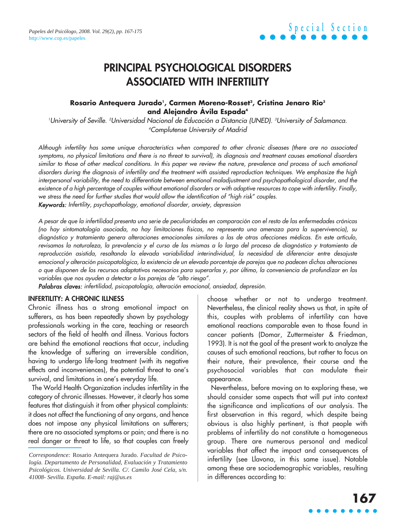### **PRINCIPAL PSYCHOLOGICAL DISORDERS ASSOCIATED WITH INFERTILITY**

### **Rosario Antequera Jurado1 , Carmen Moreno-Rosset2 , Cristina Jenaro Rio3 and Alejandro Ávila Espada4**

University of Seville. <sup>2</sup>Universidad Nacional de Educación a Distancia (UNED). <sup>3</sup>University of Salamanca. 4 Complutense University of Madrid

Although infertility has some unique characteristics when compared to other chronic diseases (there are no associated symptoms, no physical limitations and there is no threat to survival), its diagnosis and treatment causes emotional disorders similar to those of other medical conditions. In this paper we review the nature, prevalence and process of such emotional disorders during the diagnosis of infertility and the treatment with assisted reproduction techniques. We emphasize the high interpersonal variability, the need to differentiate between emotional maladjustment and psychopathological disorder, and the existence of a high percentage of couples without emotional disorders or with adaptive resources to cope with infertility. Finally, we stress the need for further studies that would allow the identification of "high risk" couples. Keywords: Infertility, psychopathology, emotional disorder, anxiety, depression

A pesar de que la infertilidad presenta una serie de peculiaridades en comparación con el resto de las enfermedades crónicas (no hay sintomatología asociada, no hay limitaciones físicas, no representa una amenaza para la supervivencia), su diagnóstico y tratamiento genera alteraciones emocionales similares a las de otras afecciones médicas. En este artículo, revisamos la naturaleza, la prevalencia y el curso de las mismas a lo largo del proceso de diagnóstico y tratamiento de reproducción asistida, resaltando la elevada variabilidad interindividual, la necesidad de diferenciar entre desajuste emocional y alteración psicopatológica, la existencia de un elevado porcentaje de parejas que no padecen dichas alteraciones o que disponen de los recursos adaptativos necesarios para superarlas y, por último, la conveniencia de profundizar en las variables que nos ayuden a detectar a las parejas de "alto riesgo".

Palabras claves: infertilidad, psicopatología, alteración emocional, ansiedad, depresión.

#### **INFERTILITY: A CHRONIC ILLNESS**

Chronic illness has a strong emotional impact on sufferers, as has been repeatedly shown by psychology professionals working in the care, teaching or research sectors of the field of health and illness. Various factors are behind the emotional reactions that occur, including the knowledge of suffering an irreversible condition, having to undergo life-long treatment (with its negative effects and inconveniences), the potential threat to one's survival, and limitations in one's everyday life.

The World Health Organization includes infertility in the category of chronic illnesses. However, it clearly has some features that distinguish it from other physical complaints: it does not affect the functioning of any organs, and hence does not impose any physical limitations on sufferers; there are no associated symptoms or pain; and there is no real danger or threat to life, so that couples can freely choose whether or not to undergo treatment. Nevertheless, the clinical reality shows us that, in spite of this, couples with problems of infertility can have emotional reactions comparable even to those found in cancer patients (Domar, Zuttermeister & Friedman, 1993). It is not the goal of the present work to analyze the causes of such emotional reactions, but rather to focus on their nature, their prevalence, their course and the psychosocial variables that can modulate their appearance.

Nevertheless, before moving on to exploring these, we should consider some aspects that will put into context the significance and implications of our analysis. The first observation in this regard, which despite being obvious is also highly pertinent, is that people with problems of infertility do not constitute a homogeneous group. There are numerous personal and medical variables that affect the impact and consequences of infertility (see Llavona, in this same issue). Notable among these are sociodemographic variables, resulting in differences according to:

*Correspondence:* Rosario Antequera Jurado. *Facultad de Psicología. Departamento de Personalidad, Evaluación y Tratamiento Psicológicos. Universidad de Sevilla. C/. Camilo José Cela, s/n. 41008- Sevilla. España. E-mail: raj@us.es*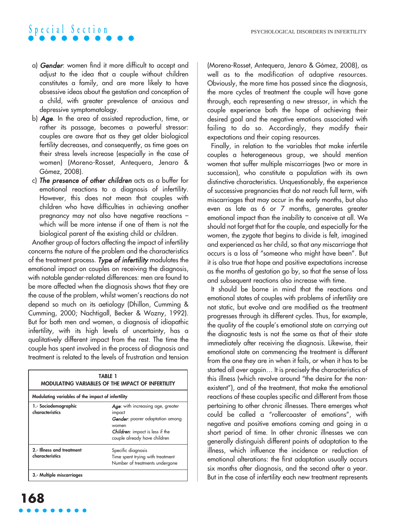- a) Gender: women find it more difficult to accept and adjust to the idea that a couple without children constitutes a family, and are more likely to have obsessive ideas about the gestation and conception of a child, with greater prevalence of anxious and depressive symptomatology.
- b) Age. In the area of assisted reproduction, time, or rather its passage, becomes a powerful stressor: couples are aware that as they get older biological fertility decreases, and consequently, as time goes on their stress levels increase (especially in the case of women) (Moreno-Rosset, Antequera, Jenaro & Gómez, 2008).
- c) The presence of other children acts as a buffer for emotional reactions to a diagnosis of infertility. However, this does not mean that couples with children who have difficulties in achieving another pregnancy may not also have negative reactions – which will be more intense if one of them is not the biological parent of the existing child or children.

Another group of factors affecting the impact of infertility concerns the nature of the problem and the characteristics of the treatment process. Type of infertility modulates the emotional impact on couples on receiving the diagnosis, with notable gender-related differences: men are found to be more affected when the diagnosis shows that they are the cause of the problem, whilst women's reactions do not depend so much on its aetiology (Dhillon, Cumming & Cumming, 2000; Nachtigall, Becker & Wozny, 1992). But for both men and women, a diagnosis of idiopathic infertility, with its high levels of uncertainty, has a qualitatively different impact from the rest. The time the couple has spent involved in the process of diagnosis and treatment is related to the levels of frustration and tension

| <b>TABLE 1</b><br><b>MODULATING VARIABLES OF THE IMPACT OF INFERTILITY</b> |                                                                                                                                                                          |
|----------------------------------------------------------------------------|--------------------------------------------------------------------------------------------------------------------------------------------------------------------------|
| Modulating variables of the impact of infertility                          |                                                                                                                                                                          |
| 1.- Sociodemographic<br>characteristics                                    | Age: with increasing age, greater<br>impact<br><b>Gender:</b> poorer adaptation among<br>women<br><b>Children:</b> impact is less if the<br>couple already have children |
| 2.- Illness and treatment<br>characteristics                               | Specific diagnosis<br>Time spent trying with treatment<br>Number of treatments undergone                                                                                 |
| 3. Multiple miscarriages                                                   |                                                                                                                                                                          |

(Moreno-Rosset, Antequera, Jenaro & Gómez, 2008), as well as to the modification of adaptive resources. Obviously, the more time has passed since the diagnosis, the more cycles of treatment the couple will have gone through, each representing a new stressor, in which the couple experience both the hope of achieving their desired goal and the negative emotions associated with failing to do so. Accordingly, they modify their expectations and their coping resources.

Finally, in relation to the variables that make infertile couples a heterogeneous group, we should mention women that suffer multiple miscarriages (two or more in succession), who constitute a population with its own distinctive characteristics. Unquestionably, the experience of successive pregnancies that do not reach full term, with miscarriages that may occur in the early months, but also even as late as 6 or 7 months, generates greater emotional impact than the inability to conceive at all. We should not forget that for the couple, and especially for the women, the zygote that begins to divide is felt, imagined and experienced as her child, so that any miscarriage that occurs is a loss of "someone who might have been". But it is also true that hope and positive expectations increase as the months of gestation go by, so that the sense of loss and subsequent reactions also increase with time.

It should be borne in mind that the reactions and emotional states of couples with problems of infertility are not static, but evolve and are modified as the treatment progresses through its different cycles. Thus, for example, the quality of the couple's emotional state on carrying out the diagnostic tests is not the same as that of their state immediately after receiving the diagnosis. Likewise, their emotional state on commencing the treatment is different from the one they are in when it fails, or when it has to be started all over again… It is precisely the characteristics of this illness (which revolve around "the desire for the nonexistent"), and of the treatment, that make the emotional reactions of these couples specific and different from those pertaining to other chronic illnesses. There emerges what could be called a "rollercoaster of emotions", with negative and positive emotions coming and going in a short period of time. In other chronic illnesses we can generally distinguish different points of adaptation to the illness, which influence the incidence or reduction of emotional alterations: the first adaptation usually occurs six months after diagnosis, and the second after a year. But in the case of infertility each new treatment represents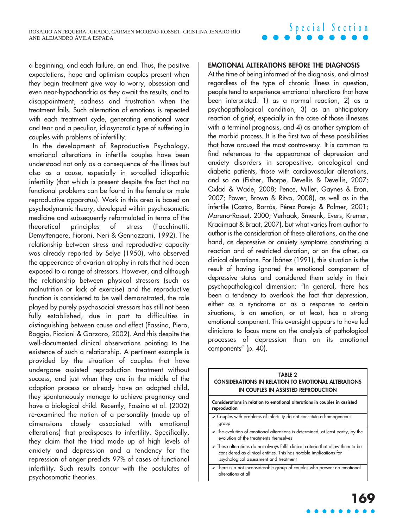a beginning, and each failure, an end. Thus, the positive expectations, hope and optimism couples present when they begin treatment give way to worry, obsession and even near-hypochondria as they await the results, and to disappointment, sadness and frustration when the treatment fails. Such alternation of emotions is repeated with each treatment cycle, generating emotional wear and tear and a peculiar, idiosyncratic type of suffering in couples with problems of infertility.

In the development of Reproductive Psychology, emotional alterations in infertile couples have been understood not only as a consequence of the illness but also as a cause, especially in so-called idiopathic infertility (that which is present despite the fact that no functional problems can be found in the female or male reproductive apparatus). Work in this area is based on psychodynamic theory, developed within psychosomatic medicine and subsequently reformulated in terms of the theoretical principles of stress (Facchinetti, Demyttenaere, Fioroni, Neri & Gennazzani, 1992). The relationship between stress and reproductive capacity was already reported by Selye (1950), who observed the appearance of ovarian atrophy in rats that had been exposed to a range of stressors. However, and although the relationship between physical stressors (such as malnutrition or lack of exercise) and the reproductive function is considered to be well demonstrated, the role played by purely psychosocial stressors has still not been fully established, due in part to difficulties in distinguishing between cause and effect (Fassino, Piero, Boggio, Piccioni & Garzaro, 2002). And this despite the well-documented clinical observations pointing to the existence of such a relationship. A pertinent example is provided by the situation of couples that have undergone assisted reproduction treatment without success, and just when they are in the middle of the adoption process or already have an adopted child, they spontaneously manage to achieve pregnancy and have a biological child. Recently, Fassino et al. (2002) re-examined the notion of a personality (made up of dimensions closely associated with emotional alterations) that predisposes to infertility. Specifically, they claim that the triad made up of high levels of anxiety and depression and a tendency for the repression of anger predicts 97% of cases of functional infertility. Such results concur with the postulates of psychosomatic theories.

#### **EMOTIONAL ALTERATIONS BEFORE THE DIAGNOSIS**

At the time of being informed of the diagnosis, and almost regardless of the type of chronic illness in question, people tend to experience emotional alterations that have been interpreted: 1) as a normal reaction, 2) as a psychopathological condition, 3) as an anticipatory reaction of grief, especially in the case of those illnesses with a terminal prognosis, and 4) as another symptom of the morbid process. It is the first two of these possibilities that have aroused the most controversy. It is common to find references to the appearance of depression and anxiety disorders in seropositive, oncological and diabetic patients, those with cardiovascular alterations, and so on (Fisher, Thorpe, Devellis & Devellis, 2007; Oxlad & Wade, 2008; Pence, Miller, Gaynes & Eron, 2007; Power, Brown & Ritvo, 2008), as well as in the infertile (Castro, Borrás, Pérez-Pareja & Palmer, 2001; Moreno-Rosset, 2000; Verhaak, Smeenk, Evers, Kremer, Kraaimaat & Braat, 2007), but what varies from author to author is the consideration of these alterations, on the one hand, as depressive or anxiety symptoms constituting a reaction and of restricted duration, or on the other, as clinical alterations. For Ibáñez (1991), this situation is the result of having ignored the emotional component of depressive states and considered them solely in their psychopathological dimension: "In general, there has been a tendency to overlook the fact that depression, either as a syndrome or as a response to certain situations, is an emotion, or at least, has a strong emotional component. This oversight appears to have led clinicians to focus more on the analysis of pathological processes of depression than on its emotional components" (p. 40).

### **TABLE 2 CONSIDERATIONS IN RELATION TO EMOTIONAL ALTERATIONS IN COUPLES IN ASSISTED REPRODUCTION Considerations in relation to emotional alterations in couples in assisted reproduction** ✔ Couples with problems of infertility do not constitute a homogeneous group  $\overline{\smash[b]{\mathsf{r}}}$  The evolution of emotional alterations is determined, at least partly, by the evolution of the treatments themselves  $\checkmark$  These alterations do not always fulfil clinical criteria that allow them to be considered as clinical entities. This has notable implications for psychological assessment and treatment  $\overline{\mathscr{C}}$  There is a not inconsiderable group of couples who present no emotional alterations at all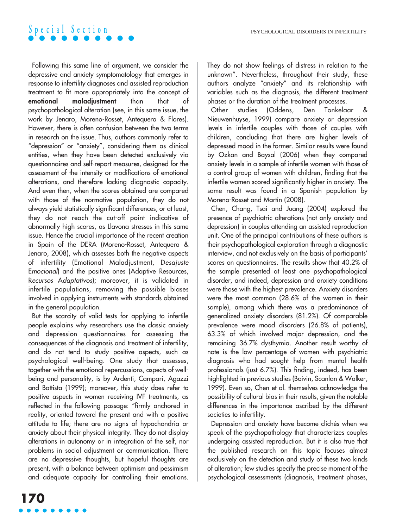Following this same line of argument, we consider the depressive and anxiety symptomatology that emerges in response to infertility diagnoses and assisted reproduction treatment to fit more appropriately into the concept of **emotional maladjustment** than that of psychopathological alteration (see, in this same issue, the work by Jenaro, Moreno-Rosset, Antequera & Flores). However, there is often confusion between the two terms in research on the issue. Thus, authors commonly refer to "depression" or "anxiety", considering them as clinical entities, when they have been detected exclusively via questionnaires and self-report measures, designed for the assessment of the intensity or modifications of emotional alterations, and therefore lacking diagnostic capacity. And even then, when the scores obtained are compared with those of the normative population, they do not always yield statistically significant differences, or at least, they do not reach the cut-off point indicative of abnormally high scores, as Llavona stresses in this same issue. Hence the crucial importance of the recent creation in Spain of the DERA (Moreno-Rosset, Antequera & Jenaro, 2008), which assesses both the negative aspects of infertility (Emotional Maladjustment, Desajuste Emocional) and the positive ones (Adaptive Resources, Recursos Adaptativos); moreover, it is validated in infertile populations, removing the possible biases involved in applying instruments with standards obtained in the general population.

But the scarcity of valid tests for applying to infertile people explains why researchers use the classic anxiety and depression questionnaires for assessing the consequences of the diagnosis and treatment of infertility, and do not tend to study positive aspects, such as psychological well-being. One study that assesses, together with the emotional repercussions, aspects of wellbeing and personality, is by Ardenti, Campari, Agazzi and Battista (1999); moreover, this study does refer to positive aspects in women receiving IVF treatments, as reflected in the following passage: "firmly anchored in reality, oriented toward the present and with a positive attitude to life; there are no signs of hypochondria or anxiety about their physical integrity. They do not display alterations in autonomy or in integration of the self, nor problems in social adjustment or communication. There are no depressive thoughts, but hopeful thoughts are present, with a balance between optimism and pessimism and adequate capacity for controlling their emotions. They do not show feelings of distress in relation to the unknown". Nevertheless, throughout their study, these authors analyze "anxiety" and its relationship with variables such as the diagnosis, the different treatment phases or the duration of the treatment processes.

Other studies (Oddens, Den Tonkelaar & Nieuwenhuyse, 1999) compare anxiety or depression levels in infertile couples with those of couples with children, concluding that there are higher levels of depressed mood in the former. Similar results were found by Ozkan and Baysal (2006) when they compared anxiety levels in a sample of infertile women with those of a control group of women with children, finding that the infertile women scored significantly higher in anxiety. The same result was found in a Spanish population by Moreno-Rosset and Martín (2008).

Chen, Chang, Tsai and Juang (2004) explored the presence of psychiatric alterations (not only anxiety and depression) in couples attending an assisted reproduction unit. One of the principal contributions of these authors is their psychopathological exploration through a diagnostic interview, and not exclusively on the basis of participants' scores on questionnaires. The results show that 40.2% of the sample presented at least one psychopathological disorder, and indeed, depression and anxiety conditions were those with the highest prevalence. Anxiety disorders were the most common (28.6% of the women in their sample), among which there was a predominance of generalized anxiety disorders (81.2%). Of comparable prevalence were mood disorders (26.8% of patients), 63.3% of which involved major depression, and the remaining 36.7% dysthymia. Another result worthy of note is the low percentage of women with psychiatric diagnosis who had sought help from mental health professionals (just 6.7%). This finding, indeed, has been highlighted in previous studies (Boivin, Scanlan & Walker, 1999). Even so, Chen et al. themselves acknowledge the possibility of cultural bias in their results, given the notable differences in the importance ascribed by the different societies to infertility.

Depression and anxiety have become clichés when we speak of the psychopathology that characterizes couples undergoing assisted reproduction. But it is also true that the published research on this topic focuses almost exclusively on the detection and study of these two kinds of alteration; few studies specify the precise moment of the psychological assessments (diagnosis, treatment phases,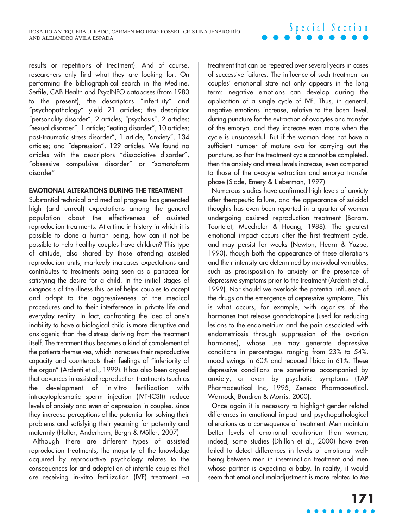results or repetitions of treatment). And of course, researchers only find what they are looking for. On performing the bibliographical search in the Medline, Serfile, CAB Health and PsycINFO databases (from 1980 to the present), the descriptors "infertility" and "psychopathology" yield 21 articles; the descriptor "personality disorder", 2 articles; "psychosis", 2 articles; "sexual disorder", 1 article; "eating disorder", 10 articles; post-traumatic stress disorder", 1 article; "anxiety", 134 articles; and "depression", 129 articles. We found no articles with the descriptors "dissociative disorder", "obsessive compulsive disorder" or "somatoform disorder".

### **EMOTIONAL ALTERATIONS DURING THE TREATMENT**

Substantial technical and medical progress has generated high (and unreal) expectations among the general population about the effectiveness of assisted reproduction treatments. At a time in history in which it is possible to clone a human being, how can it not be possible to help healthy couples have children? This type of attitude, also shared by those attending assisted reproduction units, markedly increases expectations and contributes to treatments being seen as a panacea for satisfying the desire for a child. In the initial stages of diagnosis of the illness this belief helps couples to accept and adapt to the aggressiveness of the medical procedures and to their interference in private life and everyday reality. In fact, confronting the idea of one's inability to have a biological child is more disruptive and anxiogenic than the distress deriving from the treatment itself. The treatment thus becomes a kind of complement of the patients themselves, which increases their reproductive capacity and counteracts their feelings of "inferiority of the organ" (Ardenti et al., 1999). It has also been argued that advances in assisted reproduction treatments (such as the development of in-vitro fertilization with intracytoplasmatic sperm injection (IVF-ICSI)) reduce levels of anxiety and even of depression in couples, since they increase perceptions of the potential for solving their problems and satisfying their yearning for paternity and maternity (Holter, Anderheim, Bergh & Möller, 2007)

Although there are different types of assisted reproduction treatments, the majority of the knowledge acquired by reproductive psychology relates to the consequences for and adaptation of infertile couples that are receiving in-vitro fertilization (IVF) treatment –a

treatment that can be repeated over several years in cases of successive failures. The influence of such treatment on couples' emotional state not only appears in the long term: negative emotions can develop during the application of a single cycle of IVF. Thus, in general, negative emotions increase, relative to the basal level, during puncture for the extraction of ovocytes and transfer of the embryo, and they increase even more when the cycle is unsuccessful. But if the woman does not have a sufficient number of mature ova for carrying out the puncture, so that the treatment cycle cannot be completed, then the anxiety and stress levels increase, even compared to those of the ovocyte extraction and embryo transfer phase (Slade, Emery & Lieberman, 1997).

Numerous studies have confirmed high levels of anxiety after therapeutic failure, and the appearance of suicidal thoughts has even been reported in a quarter of women undergoing assisted reproduction treatment (Baram, Tourtelot, Muecheler & Huang, 1988). The greatest emotional impact occurs after the first treatment cycle, and may persist for weeks (Newton, Hearn & Yuzpe, 1990), though both the appearance of these alterations and their intensity are determined by individual variables, such as predisposition to anxiety or the presence of depressive symptoms prior to the treatment (Ardenti et al., 1999). Nor should we overlook the potential influence of the drugs on the emergence of depressive symptoms. This is what occurs, for example, with agonists of the hormones that release gonadotropine (used for reducing lesions to the endometrium and the pain associated with endometriosis through suppression of the ovarian hormones), whose use may generate depressive conditions in percentages ranging from 23% to 54%, mood swings in 60% and reduced libido in 61%. These depressive conditions are sometimes accompanied by anxiety, or even by psychotic symptoms (TAP Pharmaceutical Inc, 1995, Zeneca Pharmaceutical, Warnock, Bundren & Morris, 2000).

Once again it is necessary to highlight gender-related differences in emotional impact and psychopathological alterations as a consequence of treatment. Men maintain better levels of emotional equilibrium than women; indeed, some studies (Dhillon et al., 2000) have even failed to detect differences in levels of emotional wellbeing between men in insemination treatment and men whose partner is expecting a baby. In reality, it would seem that emotional maladjustment is more related to the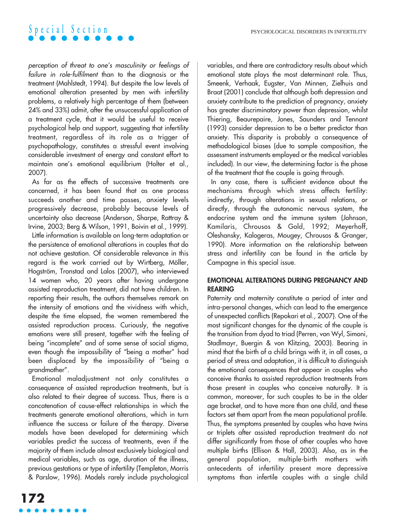perception of threat to one's masculinity or feelings of failure in role-fulfilment than to the diagnosis or the treatment (Mahlstedt, 1994). But despite the low levels of emotional alteration presented by men with infertility problems, a relatively high percentage of them (between 24% and 33%) admit, after the unsuccessful application of a treatment cycle, that it would be useful to receive psychological help and support, suggesting that infertility treatment, regardless of its role as a trigger of psychopathology, constitutes a stressful event involving considerable investment of energy and constant effort to maintain one's emotional equilibrium (Holter et al., 2007).

As far as the effects of successive treatments are concerned, it has been found that as one process succeeds another and time passes, anxiety levels progressively decrease, probably because levels of uncertainty also decrease (Anderson, Sharpe, Rattray & Irvine, 2003; Berg & Wilson, 1991, Boivin et al., 1999).

Little information is available on long-term adaptation or the persistence of emotional alterations in couples that do not achieve gestation. Of considerable relevance in this regard is the work carried out by Wirtberg, Möller, Hogström, Tronstad and Lalos (2007), who interviewed 14 women who, 20 years after having undergone assisted reproduction treatment, did not have children. In reporting their results, the authors themselves remark on the intensity of emotions and the vividness with which, despite the time elapsed, the women remembered the assisted reproduction process. Curiously, the negative emotions were still present, together with the feeling of being "incomplete" and of some sense of social stigma, even though the impossibility of "being a mother" had been displaced by the impossibility of "being a grandmother".

Emotional maladjustment not only constitutes a consequence of assisted reproduction treatments, but is also related to their degree of success. Thus, there is a concatenation of cause-effect relationships in which the treatments generate emotional alterations, which in turn influence the success or failure of the therapy. Diverse models have been developed for determining which variables predict the success of treatments, even if the majority of them include almost exclusively biological and medical variables, such as age, duration of the illness, previous gestations or type of infertility (Templeton, Morris & Parslow, 1996). Models rarely include psychological variables, and there are contradictory results about which emotional state plays the most determinant role. Thus, Smeenk, Verhaak, Eugster, Van Minnen, Zielhuis and Braat (2001) conclude that although both depression and anxiety contribute to the prediction of pregnancy, anxiety has greater discriminatory power than depression, whilst Thiering, Beaurepaire, Jones, Saunders and Tennant (1993) consider depression to be a better predictor than anxiety. This disparity is probably a consequence of methodological biases (due to sample composition, the assessment instruments employed or the medical variables included). In our view, the determining factor is the phase of the treatment that the couple is going through.

In any case, there is sufficient evidence about the mechanisms through which stress affects fertility: indirectly, through alterations in sexual relations, or directly, through the autonomic nervous system, the endocrine system and the immune system (Johnson, Kamilaris, Chrousos & Gold, 1992; Meyerhoff, Oleshansky, Kalogeras, Mougey, Chrousos & Granger, 1990). More information on the relationship between stress and infertility can be found in the article by Campagne in this special issue.

### **EMOTIONAL ALTERATIONS DURING PREGNANCY AND REARING**

Paternity and maternity constitute a period of inter and intra-personal changes, which can lead to the emergence of unexpected conflicts (Repokari et al., 2007). One of the most significant changes for the dynamic of the couple is the transition from dyad to triad (Perren, von Wyl, Simoni, Stadlmayr, Buergin & von Klitzing, 2003). Bearing in mind that the birth of a child brings with it, in all cases, a period of stress and adaptation, it is difficult to distinguish the emotional consequences that appear in couples who conceive thanks to assisted reproduction treatments from those present in couples who conceive naturally. It is common, moreover, for such couples to be in the older age bracket, and to have more than one child, and these factors set them apart from the mean populational profile. Thus, the symptoms presented by couples who have twins or triplets after assisted reproduction treatment do not differ significantly from those of other couples who have multiple births (Ellison & Hall, 2003). Also, as in the general population, multiple-birth mothers with antecedents of infertility present more depressive symptoms than infertile couples with a single child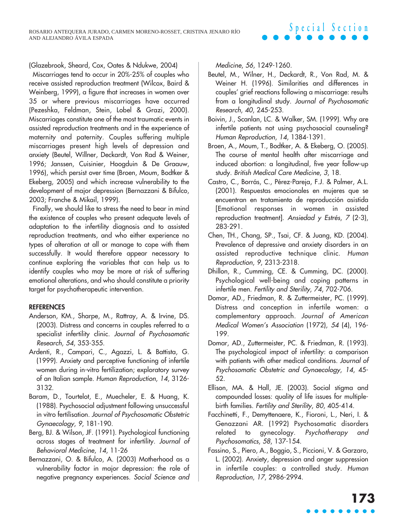(Glazebrook, Sheard, Cox, Oates & Ndukwe, 2004)

Miscarriages tend to occur in 20%-25% of couples who receive assisted reproduction treatment (Wilcox, Baird & Weinberg, 1999), a figure that increases in women over 35 or where previous miscarriages have occurred (Pezeshka, Feldman, Stein, Lobel & Grazi, 2000). Miscarriages constitute one of the most traumatic events in assisted reproduction treatments and in the experience of maternity and paternity. Couples suffering multiple miscarriages present high levels of depression and anxiety (Beutel, Willner, Deckardt, Von Rad & Weiner, 1996; Janssen, Cuisinier, Hoogduin & De Graauw, 1996), which persist over time (Broen, Moum, Bodtker & Ekeberg, 2005) and which increase vulnerability to the development of major depression (Bernazzani & Bifulco, 2003; Franche & Mikail, 1999).

Finally, we should like to stress the need to bear in mind the existence of couples who present adequate levels of adaptation to the infertility diagnosis and to assisted reproduction treatments, and who either experience no types of alteration at all or manage to cope with them successfully. It would therefore appear necessary to continue exploring the variables that can help us to identify couples who may be more at risk of suffering emotional alterations, and who should constitute a priority target for psychotherapeutic intervention.

#### **REFERENCES**

- Anderson, KM., Sharpe, M., Rattray, A. & Irvine, DS. (2003). Distress and concerns in couples referred to a specialist infertility clinic. Journal of Psychosomatic Research, 54, 353-355.
- Ardenti, R., Campari, C., Agazzi, L. & Battista, G. (1999). Anxiety and perceptive functioning of infertile women during in-vitro fertilization; exploratory survey of an Italian sample. Human Reproduction, 14, 3126- 3132.
- Baram, D., Tourtelot, E., Muecheler, E. & Huang, K. (1988). Psychosocial adjustment following unsuccessful in vitro fertilisation. Journal of Psychosomatic Obstetric Gynaecology, 9, 181-190.
- Berg, BJ. & Wilson, JF. (1991). Psychological functioning across stages of treatment for infertility. Journal of Behavioral Medicine, 14, 11-26
- Bernazzani, O. & Bifulco, A. (2003) Motherhood as a vulnerability factor in major depression: the role of negative pregnancy experiences. Social Science and

Medicine, 56, 1249-1260.

- Beutel, M., Wilner, H., Deckardt, R., Von Rad, M. & Weiner H. (1996). Similarities and differences in couples' grief reactions following a miscarriage: results from a longitudinal study. Journal of Psychosomatic Research, 40, 245-253.
- Boivin, J., Scanlan, LC. & Walker, SM. (1999). Why are infertile patients not using psychosocial counseling? Human Reproduction, 14, 1384-1391.
- Broen, A., Moum, T., Bodtker, A. & Ekeberg, O. (2005). The course of mental health after miscarriage and induced abortion: a longitudinal, five year follow-up study. British Medical Care Medicine, 3, 18.
- Castro, C., Borrás, C., Pérez-Pareja, F.J. & Palmer, A.L. (2001). Respuestas emocionales en mujeres que se encuentran en tratamiento de reproducción asistida [Emotional responses in women in assisted reproduction treatment]. Ansiedad y Estrés, <sup>7</sup> (2-3), 283-291.
- Chen, TH., Chang, SP., Tsai, CF. & Juang, KD. (2004). Prevalence of depressive and anxiety disorders in an assisted reproductive technique clinic. Human Reproduction, 9, 2313-2318.
- Dhillon, R., Cumming, CE. & Cumming, DC. (2000). Psychological well-being and coping patterns in infertile men. Fertility and Sterility, 74, 702-706.
- Domar, AD., Friedman, R. & Zuttermeister, PC. (1999). Distress and conception in infertile women: a complementary approach. Journal of American Medical Women's Association (1972), 54 (4), 196- 199.
- Domar, AD., Zuttermeister, PC. & Friedman, R. (1993). The psychological impact of infertility: a comparison with patients with other medical conditions. Journal of Psychosomatic Obstetric and Gynaecology, 14, 45- 52.
- Ellison, MA. & Hall, JE. (2003). Social stigma and compounded losses: quality of life issues for multiplebirth families. Fertility and Sterility, 80, 405-414.
- Facchinetti, F., Demyttenaere, K., Fioroni, L., Neri, I. & Genazzani AR. (1992) Psychosomatic disorders related to gynecology. Psychotherapy and Psychosomatics, 58, 137-154.
- Fassino, S., Piero, A., Boggio, S., Piccioni, V. & Garzaro, L. (2002). Anxiety, depression and anger suppression in infertile couples: a controlled study. Human Reproduction, 17, 2986-2994.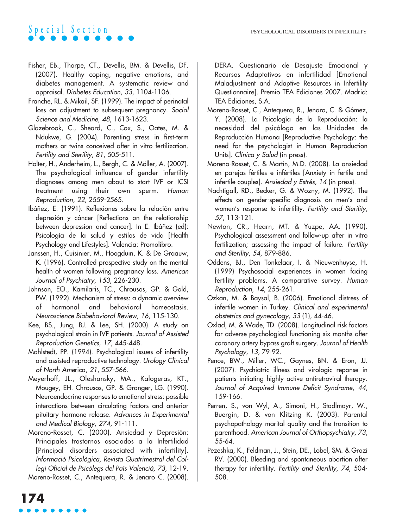- Fisher, EB., Thorpe, CT., Devellis, BM. & Devellis, DF. (2007). Healthy coping, negative emotions, and diabetes management. A systematic review and appraisal. Diabetes Education, 33, 1104-1106.
- Franche, RL. & Mikail, SF. (1999). The impact of perinatal loss on adjustment to subsequent pregnancy. Social Science and Medicine, 48, 1613-1623.
- Glazebrook, C., Sheard, C., Cox, S., Oates, M. & Ndukwe, G. (2004). Parenting stress in first-term mothers or twins conceived after in vitro fertilization. Fertility and Sterility, 81, 505-511.
- Holter, H., Anderheim, L., Bergh, C. & Möller, A. (2007). The psychological influence of gender infertility diagnoses among men about to start IVF or ICSI treatment using their own sperm. Human Reproduction, 22, 2559-2565.
- Ibáñez, E. (1991). Reflexiones sobre la relación entre depresión y cáncer [Reflections on the relationship between depression and cancer]. In E. Ibáñez (ed): Psicología de la salud y estilos de vida [Health Psychology and Lifestyles]. Valencia: Promolibro.
- Janssen, H., Cuisinier, M., Hoogduin, K. & De Graauw, K. (1996). Controlled prospective study on the mental health of women following pregnancy loss. American Journal of Psychiatry, 153, 226-230.
- Johnson, EO., Kamilaris, TC., Chrousos, GP. & Gold, PW. (1992). Mechanism of stress: a dynamic overview of hormonal and behavioral homeostasis. Neuroscience Biobehavioral Review, 16, 115-130.
- Kee, BS., Jung, BJ. & Lee, SH. (2000). A study on psychological strain in IVF patients. Journal of Assisted Reproduction Genetics, 17, 445-448.
- Mahlstedt, PP. (1994). Psychological issues of infertility and assisted reproductive technology. Urology Clinical of North America, 21, 557-566.
- Meyerhoff, JL., Oleshansky, MA., Kalogeras, KT., Mougey, EH. Chrousos, GP. & Granger, LG. (1990). Neuroendocrine responses to emotional stress: possible interactions between circulating factors and anterior pituitary hormone release. Advances in Experimental and Medical Biology, 274, 91-111.
- Moreno-Rosset, C. (2000). Ansiedad y Depresión: Principales trastornos asociados a la Infertilidad [Principal disorders associated with infertility]. Informació Psicològica, Revista Quatrimestral del Collegi Oficial de Psicòlegs del País Valencià, 73, 12-19. Moreno-Rosset, C., Antequera, R. & Jenaro C. (2008).

DERA. Cuestionario de Desajuste Emocional y Recursos Adaptativos en infertilidad [Emotional Maladjustment and Adaptive Resources in Infertility Questionnaire]. Premio TEA Ediciones 2007. Madrid: TEA Ediciones, S.A.

- Moreno-Rosset, C., Antequera, R., Jenaro, C. & Gómez, Y. (2008). La Psicología de la Reproducción: la necesidad del psicólogo en las Unidades de Reproducción Humana [Reproductive Psychology: the need for the psychologist in Human Reproduction Units]. Clínica y Salud (in press).
- Moreno-Rosset, C. & Martín, M.D. (2008). La ansiedad en parejas fértiles e infértiles [Anxiety in fertile and infertile couples]. Ansiedad y Estrés, <sup>14</sup> (in press).
- Nachtigall, RD., Becker, G. & Wozny, M. (1992). The effects on gender-specific diagnosis on men's and women's response to infertility. Fertility and Sterility, 57, 113-121.
- Newton, CR., Hearn, MT. & Yuzpe, AA. (1990). Psychological assessment and follow-up after in vitro fertilization; assessing the impact of failure. Fertility and Sterility, 54, 879-886.
- Oddens, BJ., Den Tonkelaar, I. & Nieuwenhuyse, H. (1999) Psychosocial experiences in women facing fertility problems. A comparative survey. Human Reproduction, 14, 255-261.
- Ozkan, M. & Baysal, B. (2006). Emotional distress of infertile women in Turkey. Clinical and experimental obstetrics and gynecology, <sup>33</sup> (1), 44-46.
- Oxlad, M. & Wade, TD. (2008). Longitudinal risk factors for adverse psychological functioning six months after coronary artery bypass graft surgery. Journal of Health Psychology, 13, 79-92.
- Pence, BW., Miller, WC., Gaynes, BN. & Eron, JJ. (2007). Psychiatric illness and virologic reponse in patients initiating highly active antiretroviral therapy. Journal of Acquired Immune Deficit Syndrome, 44, 159-166.
- Perren, S., von Wyl, A., Simoni, H., Stadlmayr, W., Buergin, D. & von Klitzing K. (2003). Parental psychopathology marital quality and the transition to parenthood. American Journal of Orthopsychiatry, 73, 55-64.
- Pezeshka, K., Feldman, J., Stein, DE., Lobel, SM. & Grazi RV. (2000). Bleeding and spontaneous abortion after therapy for infertility. Fertility and Sterility, 74, 504- 508.